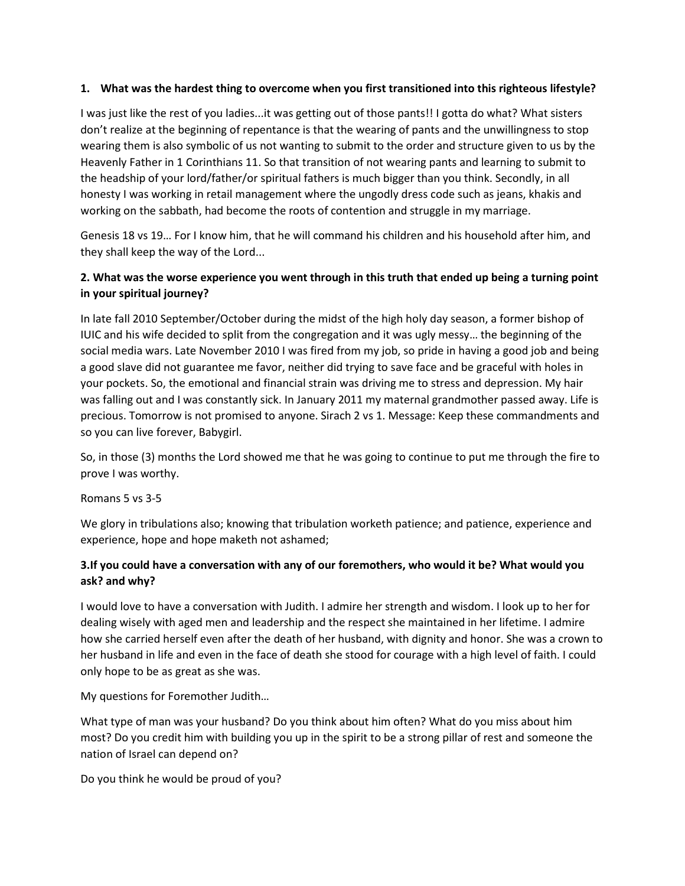### 1. What was the hardest thing to overcome when you first transitioned into this righteous lifestyle?

I was just like the rest of you ladies...it was getting out of those pants!! I gotta do what? What sisters don't realize at the beginning of repentance is that the wearing of pants and the unwillingness to stop wearing them is also symbolic of us not wanting to submit to the order and structure given to us by the Heavenly Father in 1 Corinthians 11. So that transition of not wearing pants and learning to submit to the headship of your lord/father/or spiritual fathers is much bigger than you think. Secondly, in all honesty I was working in retail management where the ungodly dress code such as jeans, khakis and working on the sabbath, had become the roots of contention and struggle in my marriage.

Genesis 18 vs 19… For I know him, that he will command his children and his household after him, and they shall keep the way of the Lord...

# 2. What was the worse experience you went through in this truth that ended up being a turning point in your spiritual journey?

In late fall 2010 September/October during the midst of the high holy day season, a former bishop of IUIC and his wife decided to split from the congregation and it was ugly messy… the beginning of the social media wars. Late November 2010 I was fired from my job, so pride in having a good job and being a good slave did not guarantee me favor, neither did trying to save face and be graceful with holes in your pockets. So, the emotional and financial strain was driving me to stress and depression. My hair was falling out and I was constantly sick. In January 2011 my maternal grandmother passed away. Life is precious. Tomorrow is not promised to anyone. Sirach 2 vs 1. Message: Keep these commandments and so you can live forever, Babygirl.

So, in those (3) months the Lord showed me that he was going to continue to put me through the fire to prove I was worthy.

Romans 5 vs 3-5

We glory in tribulations also; knowing that tribulation worketh patience; and patience, experience and experience, hope and hope maketh not ashamed;

# 3.If you could have a conversation with any of our foremothers, who would it be? What would you ask? and why?

I would love to have a conversation with Judith. I admire her strength and wisdom. I look up to her for dealing wisely with aged men and leadership and the respect she maintained in her lifetime. I admire how she carried herself even after the death of her husband, with dignity and honor. She was a crown to her husband in life and even in the face of death she stood for courage with a high level of faith. I could only hope to be as great as she was.

My questions for Foremother Judith…

What type of man was your husband? Do you think about him often? What do you miss about him most? Do you credit him with building you up in the spirit to be a strong pillar of rest and someone the nation of Israel can depend on?

Do you think he would be proud of you?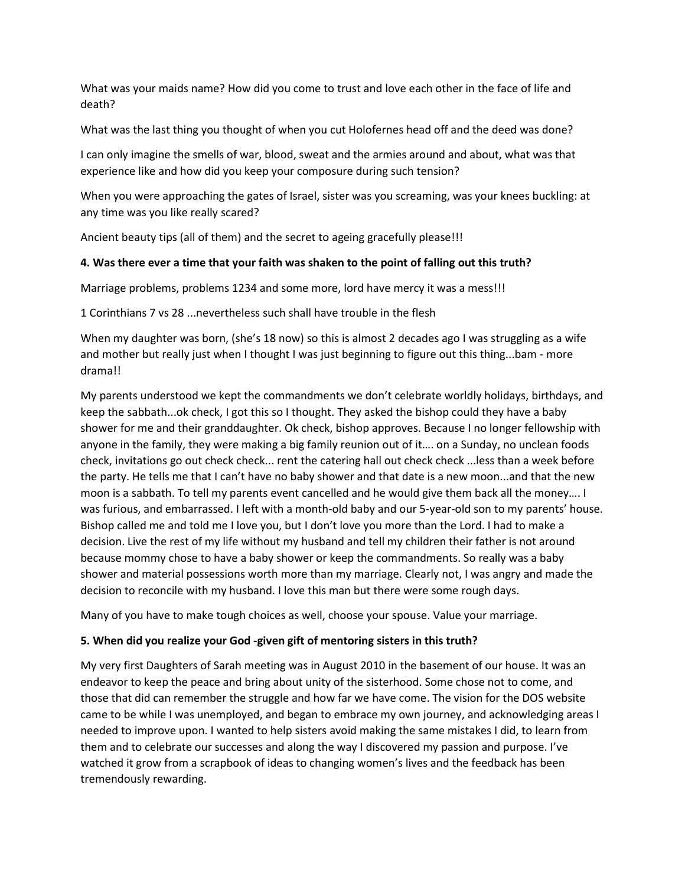What was your maids name? How did you come to trust and love each other in the face of life and death?

What was the last thing you thought of when you cut Holofernes head off and the deed was done?

I can only imagine the smells of war, blood, sweat and the armies around and about, what was that experience like and how did you keep your composure during such tension?

When you were approaching the gates of Israel, sister was you screaming, was your knees buckling: at any time was you like really scared?

Ancient beauty tips (all of them) and the secret to ageing gracefully please!!!

### 4. Was there ever a time that your faith was shaken to the point of falling out this truth?

Marriage problems, problems 1234 and some more, lord have mercy it was a mess!!!

1 Corinthians 7 vs 28 ...nevertheless such shall have trouble in the flesh

When my daughter was born, (she's 18 now) so this is almost 2 decades ago I was struggling as a wife and mother but really just when I thought I was just beginning to figure out this thing...bam - more drama!!

My parents understood we kept the commandments we don't celebrate worldly holidays, birthdays, and keep the sabbath...ok check, I got this so I thought. They asked the bishop could they have a baby shower for me and their granddaughter. Ok check, bishop approves. Because I no longer fellowship with anyone in the family, they were making a big family reunion out of it…. on a Sunday, no unclean foods check, invitations go out check check... rent the catering hall out check check ...less than a week before the party. He tells me that I can't have no baby shower and that date is a new moon...and that the new moon is a sabbath. To tell my parents event cancelled and he would give them back all the money…. I was furious, and embarrassed. I left with a month-old baby and our 5-year-old son to my parents' house. Bishop called me and told me I love you, but I don't love you more than the Lord. I had to make a decision. Live the rest of my life without my husband and tell my children their father is not around because mommy chose to have a baby shower or keep the commandments. So really was a baby shower and material possessions worth more than my marriage. Clearly not, I was angry and made the decision to reconcile with my husband. I love this man but there were some rough days.

Many of you have to make tough choices as well, choose your spouse. Value your marriage.

## 5. When did you realize your God -given gift of mentoring sisters in this truth?

My very first Daughters of Sarah meeting was in August 2010 in the basement of our house. It was an endeavor to keep the peace and bring about unity of the sisterhood. Some chose not to come, and those that did can remember the struggle and how far we have come. The vision for the DOS website came to be while I was unemployed, and began to embrace my own journey, and acknowledging areas I needed to improve upon. I wanted to help sisters avoid making the same mistakes I did, to learn from them and to celebrate our successes and along the way I discovered my passion and purpose. I've watched it grow from a scrapbook of ideas to changing women's lives and the feedback has been tremendously rewarding.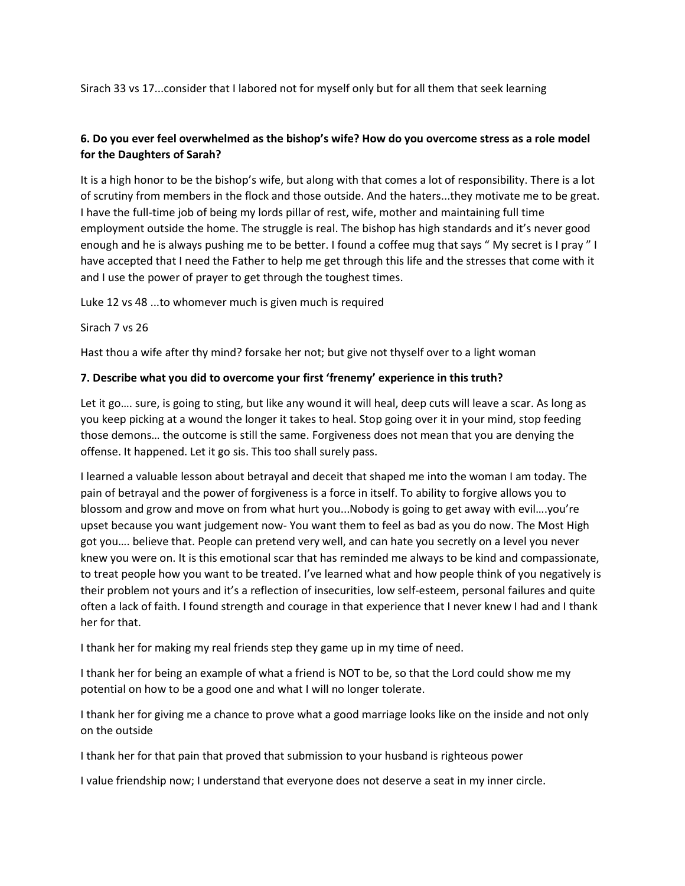Sirach 33 vs 17...consider that I labored not for myself only but for all them that seek learning

## 6. Do you ever feel overwhelmed as the bishop's wife? How do you overcome stress as a role model for the Daughters of Sarah?

It is a high honor to be the bishop's wife, but along with that comes a lot of responsibility. There is a lot of scrutiny from members in the flock and those outside. And the haters...they motivate me to be great. I have the full-time job of being my lords pillar of rest, wife, mother and maintaining full time employment outside the home. The struggle is real. The bishop has high standards and it's never good enough and he is always pushing me to be better. I found a coffee mug that says " My secret is I pray " I have accepted that I need the Father to help me get through this life and the stresses that come with it and I use the power of prayer to get through the toughest times.

Luke 12 vs 48 ...to whomever much is given much is required

Sirach 7 vs 26

Hast thou a wife after thy mind? forsake her not; but give not thyself over to a light woman

### 7. Describe what you did to overcome your first 'frenemy' experience in this truth?

Let it go…. sure, is going to sting, but like any wound it will heal, deep cuts will leave a scar. As long as you keep picking at a wound the longer it takes to heal. Stop going over it in your mind, stop feeding those demons… the outcome is still the same. Forgiveness does not mean that you are denying the offense. It happened. Let it go sis. This too shall surely pass.

I learned a valuable lesson about betrayal and deceit that shaped me into the woman I am today. The pain of betrayal and the power of forgiveness is a force in itself. To ability to forgive allows you to blossom and grow and move on from what hurt you...Nobody is going to get away with evil….you're upset because you want judgement now- You want them to feel as bad as you do now. The Most High got you…. believe that. People can pretend very well, and can hate you secretly on a level you never knew you were on. It is this emotional scar that has reminded me always to be kind and compassionate, to treat people how you want to be treated. I've learned what and how people think of you negatively is their problem not yours and it's a reflection of insecurities, low self-esteem, personal failures and quite often a lack of faith. I found strength and courage in that experience that I never knew I had and I thank her for that.

I thank her for making my real friends step they game up in my time of need.

I thank her for being an example of what a friend is NOT to be, so that the Lord could show me my potential on how to be a good one and what I will no longer tolerate.

I thank her for giving me a chance to prove what a good marriage looks like on the inside and not only on the outside

I thank her for that pain that proved that submission to your husband is righteous power

I value friendship now; I understand that everyone does not deserve a seat in my inner circle.